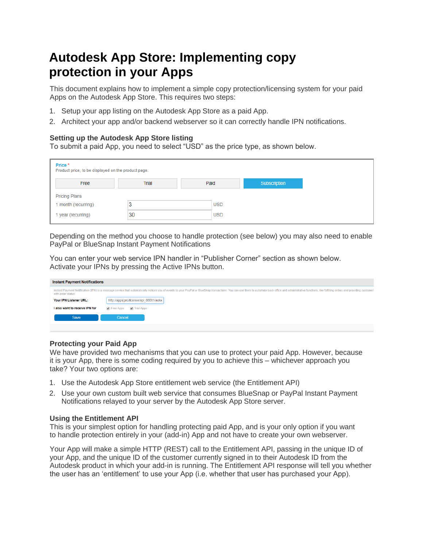# **Autodesk App Store: Implementing copy protection in your Apps**

This document explains how to implement a simple copy protection/licensing system for your paid Apps on the Autodesk App Store. This requires two steps:

- 1. Setup your app listing on the Autodesk App Store as a paid App.
- 2. Architect your app and/or backend webserver so it can correctly handle IPN notifications.

## **Setting up the Autodesk App Store listing**

To submit a paid App, you need to select "USD" as the price type, as shown below.

| Price*<br>Product price, to be displayed on the product page. |       |            |              |
|---------------------------------------------------------------|-------|------------|--------------|
| Free                                                          | Trial | Paid       | Subscription |
| <b>Pricing Plans</b>                                          |       |            |              |
| 1 month (recurring)                                           | 3     | <b>USD</b> |              |
| 1 year (recurring)                                            | 30    | <b>USD</b> |              |

Depending on the method you choose to handle protection (see below) you may also need to enable PayPal or BlueSnap Instant Payment Notifications

You can enter your web service IPN handler in "Publisher Corner" section as shown below. Activate your IPNs by pressing the Active IPNs button.

| <b>Instant Payment Notifications</b> |                                                                                                                                                                                                                                |
|--------------------------------------|--------------------------------------------------------------------------------------------------------------------------------------------------------------------------------------------------------------------------------|
| with order status.                   | Instant Payment Notification (IPN) is a message service that automatically notices you of events to your PayPal or BlueSnap transactions. You can use them to automate back-office and administrative functions, like fulfilli |
| Your IPN Listener URL:               | http://apps.pro/license/api 00001/autoo                                                                                                                                                                                        |
| I also want to receive IPN for       | <b>P</b> Free Apps<br>Trial Apps                                                                                                                                                                                               |
| Save                                 | Cancel                                                                                                                                                                                                                         |

## **Protecting your Paid App**

We have provided two mechanisms that you can use to protect your paid App. However, because it is your App, there is some coding required by you to achieve this – whichever approach you take? Your two options are:

- 1. Use the Autodesk App Store entitlement web service (the Entitlement API)
- 2. Use your own custom built web service that consumes BlueSnap or PayPal Instant Payment Notifications relayed to your server by the Autodesk App Store server.

## **Using the Entitlement API**

This is your simplest option for handling protecting paid App, and is your only option if you want to handle protection entirely in your (add-in) App and not have to create your own webserver.

Your App will make a simple HTTP (REST) call to the Entitlement API, passing in the unique ID of your App, and the unique ID of the customer currently signed in to their Autodesk ID from the Autodesk product in which your add-in is running. The Entitlement API response will tell you whether the user has an 'entitlement' to use your App (i.e. whether that user has purchased your App).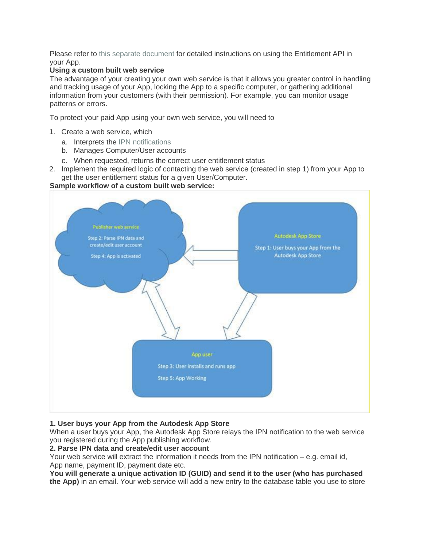Please refer to [this separate document](https://damassets.autodesk.net/content/dam/autodesk/www/adn/pdf/entitlement-api-for-desktop-apps.pdf) for detailed instructions on using the Entitlement API in your App.

## **Using a custom built web service**

The advantage of your creating your own web service is that it allows you greater control in handling and tracking usage of your App, locking the App to a specific computer, or gathering additional information from your customers (with their permission). For example, you can monitor usage patterns or errors.

To protect your paid App using your own web service, you will need to

- 1. Create a web service, which
	- a. Interprets the [IPN notifications](https://damassets.autodesk.net/content/dam/autodesk/www/adn/pdf/instant-payment-notification-ipn-format.pdf)
	- b. Manages Computer/User accounts
	- c. When requested, returns the correct user entitlement status
- 2. Implement the required logic of contacting the web service (created in step 1) from your App to get the user entitlement status for a given User/Computer.

## **Sample workflow of a custom built web service:**



# **1. User buys your App from the Autodesk App Store**

When a user buys your App, the Autodesk App Store relays the IPN notification to the web service you registered during the App publishing workflow.

## **2. Parse IPN data and create/edit user account**

Your web service will extract the information it needs from the IPN notification – e.g. email id, App name, payment ID, payment date etc.

**You will generate a unique activation ID (GUID) and send it to the user (who has purchased the App)** in an email. Your web service will add a new entry to the database table you use to store